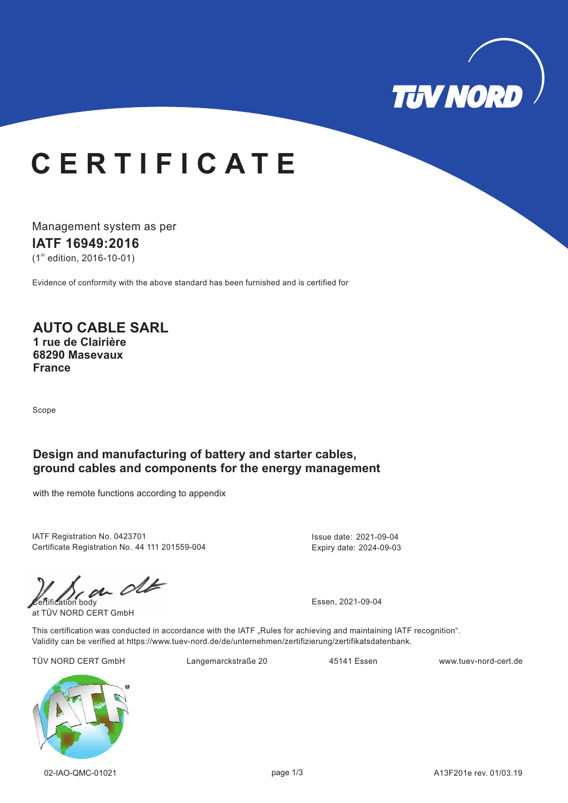

## **C E R T I F I C A T E**

Management system as per

#### **IATF 16949: 16 20**

 $(1<sup>st</sup>$  edition, 2016-10-01)

Evidence of conformity with the above standard has been furnished and is certified for

### **AUTO CABLE SARL**

**1 rue de Clairière 68290 Masevaux France**

Scope

#### **Design and manufacturing of battery and starter cables, ground cables and components for the energy management**

with the remote functions according to appendix

IATF Registration No. 0423701 Certificate Registration No. 44 111 201559-004 Issue date: 2021-09-04 Expiry date: 2024-09-03

 $\frac{1}{2}$  Essen, 2021-09-04

at TÜV NORD CERT GmbH

This certification was conducted in accordance with the IATF "Rules for achieving and maintaining IATF recognition". Validity can be verified at https://www.tuev-nord.de/de/unternehmen/zertifizierung/zertifikatsdatenbank.

TÜV NORD CERT GmbH Langemarckstraße 20 45141 Essen www.tuev-nord-cert.de

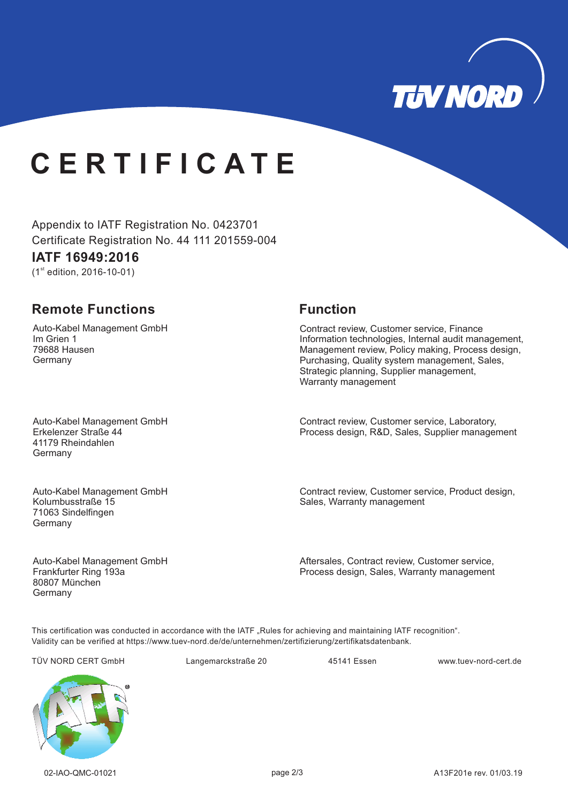

# **C E R T I F I C A T E**

Appendix to IATF Registration No. 0423701 Certificate Registration No. 44 111 201559-004

#### **IATF 16949: 16 20**

 $(1<sup>st</sup>$  edition, 2016-10-01)

### **Remote Functions Function**

Auto-Kabel Management GmbH Im Grien 1 79688 Hausen Germany

Contract review, Customer service, Finance Information technologies, Internal audit management, Management review, Policy making, Process design, Purchasing, Quality system management, Sales, Strategic planning, Supplier management, Warranty management

Auto-Kabel Management GmbH Erkelenzer Straße 44 41179 Rheindahlen Germany

Auto-Kabel Management GmbH Kolumbusstraße 15 71063 Sindelfingen **Germany** 

Auto-Kabel Management GmbH Frankfurter Ring 193a 80807 München Germany

Contract review, Customer service, Laboratory, Process design, R&D, Sales, Supplier management

Contract review, Customer service, Product design, Sales, Warranty management

Aftersales, Contract review, Customer service, Process design, Sales, Warranty management

This certification was conducted in accordance with the IATF "Rules for achieving and maintaining IATF recognition". Validity can be verified at https://www.tuev-nord.de/de/unternehmen/zertifizierung/zertifikatsdatenbank.

TÜV NORD CERT GmbH Langemarckstraße 20 45141 Essen www.tuev-nord-cert.de